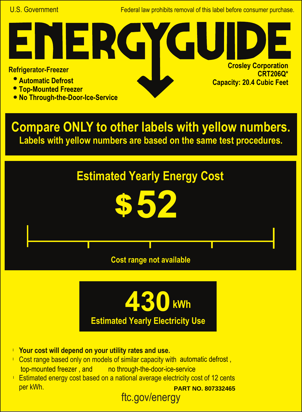U.S. Government Federal law prohibits removal of this label before consumer purchase.

**Crosley Corporation**

**Capacity: 20.4 Cubic Feet**

**CRT206Q\***

## **Refrigerator-Freezer**

- **Automatic Defrost**
- **Top-Mounted Freezer**
- **No Through-the-Door-Ice-Service**

NER.

**Compare ONLY to other labels with yellow numbers. Labels with yellow numbers are based on the same test procedures.**





- **Your cost will depend on your utility rates and use.** l
- Cost range based only on models of similar capacity with automatic defrost, top-mounted freezer, and no through-the-door-ice-service
- ftc.gov/energy **Estimated energy cost based on a national average electricity cost of 12 cents** per kWh. **PART NO. 807332465**